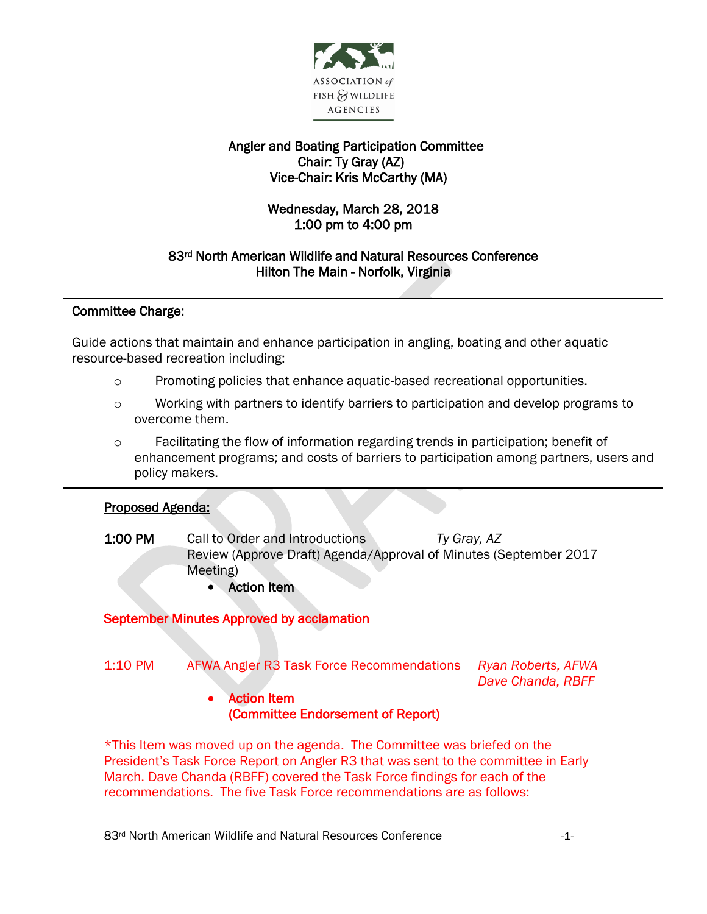

# Angler and Boating Participation Committee Chair: Ty Gray (AZ) Vice-Chair: Kris McCarthy (MA)

# Wednesday, March 28, 2018 1:00 pm to 4:00 pm

# 83rd North American Wildlife and Natural Resources Conference Hilton The Main - Norfolk, Virginia

### j Committee Charge:

 Guide actions that maintain and enhance participation in angling, boating and other aquatic .<br>. resource-based recreation including:

- o Promoting policies that enhance aquatic-based recreational opportunities.
- o Working with partners to identify barriers to participation and develop programs to overcome them.
- o Facilitating the flow of information regarding trends in participation; benefit of enhancement programs; and costs of barriers to participation among partners, users and policy makers.

### I Proposed Agenda:

- 1:00 PM Call to Order and Introductions *Ty Gray, AZ* Review (Approve Draft) Agenda/Approval of Minutes (September 2017 Meeting)
	- Action Item

# September Minutes Approved by acclamation

- 1:10 PM AFWA Angler R3 Task Force Recommendations *Ryan Roberts, AFWA Dave Chanda, RBFF* 
	- Action Item (Committee Endorsement of Report)

\*This Item was moved up on the agenda. The Committee was briefed on the President's Task Force Report on Angler R3 that was sent to the committee in Early March. Dave Chanda (RBFF) covered the Task Force findings for each of the recommendations. The five Task Force recommendations are as follows: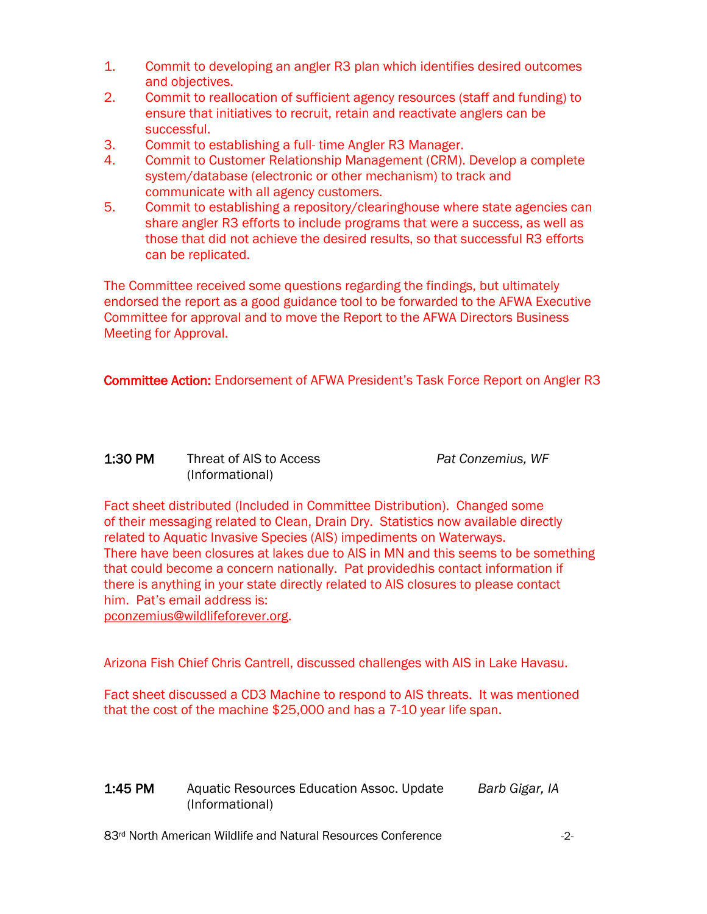- 1. Commit to developing an angler R3 plan which identifies desired outcomes and objectives.
- 2. Commit to reallocation of sufficient agency resources (staff and funding) to ensure that initiatives to recruit, retain and reactivate anglers can be successful.
- 3. Commit to establishing a full- time Angler R3 Manager.
- 4. Commit to Customer Relationship Management (CRM). Develop a complete system/database (electronic or other mechanism) to track and communicate with all agency customers.
- 5. Commit to establishing a repository/clearinghouse where state agencies can share angler R3 efforts to include programs that were a success, as well as those that did not achieve the desired results, so that successful R3 efforts can be replicated.

The Committee received some questions regarding the findings, but ultimately endorsed the report as a good guidance tool to be forwarded to the AFWA Executive Committee for approval and to move the Report to the AFWA Directors Business Meeting for Approval.

Committee Action: Endorsement of AFWA President's Task Force Report on Angler R3

## 1:30 PM Threat of AIS to Access *Pat Conzemius, WF* (Informational)

Fact sheet distributed (Included in Committee Distribution). Changed some of their messaging related to Clean, Drain Dry. Statistics now available directly related to Aquatic Invasive Species (AIS) impediments on Waterways. There have been closures at lakes due to AIS in MN and this seems to be something that could become a concern nationally. Pat providedhis contact information if there is anything in your state directly related to AIS closures to please contact him. Pat's email address is: [pconzemius@wildlifeforever.org.](mailto:pconzemius@wildlifeforever.org)

Arizona Fish Chief Chris Cantrell, discussed challenges with AIS in Lake Havasu.

Fact sheet discussed a CD3 Machine to respond to AIS threats. It was mentioned that the cost of the machine \$25,000 and has a 7-10 year life span.

| 1:45 PM | Aquatic Resources Education Assoc. Update | Barb Gigar, IA |
|---------|-------------------------------------------|----------------|
|         | (Informational)                           |                |

83<sup>rd</sup> North American Wildlife and Natural Resources Conference  $\sim$  2-2-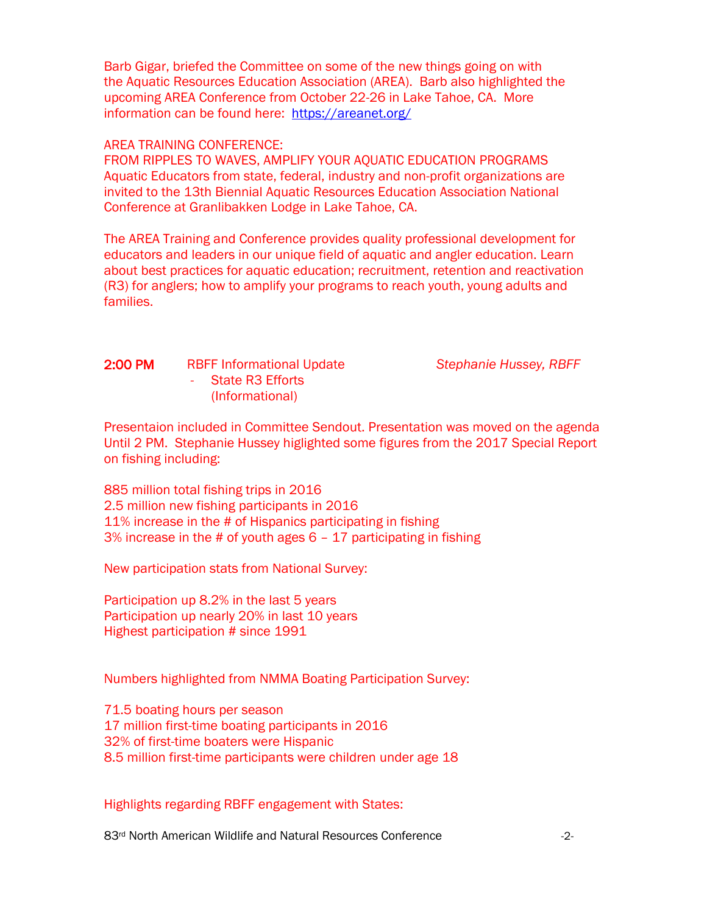Barb Gigar, briefed the Committee on some of the new things going on with the Aquatic Resources Education Association (AREA). Barb also highlighted the upcoming AREA Conference from October 22-26 in Lake Tahoe, CA. More information can be found here: <https://areanet.org/>

### AREA TRAINING CONFERENCE:

FROM RIPPLES TO WAVES, AMPLIFY YOUR AQUATIC EDUCATION PROGRAMS Aquatic Educators from state, federal, industry and non-profit organizations are invited to the 13th Biennial Aquatic Resources Education Association National Conference at Granlibakken Lodge in Lake Tahoe, CA.

The AREA Training and Conference provides quality professional development for educators and leaders in our unique field of aquatic and angler education. Learn about best practices for aquatic education; recruitment, retention and reactivation (R3) for anglers; how to amplify your programs to reach youth, young adults and families.

2:00 PM RBFF Informational Update *Stephanie Hussey, RBFF -* State R3 Efforts (Informational)

Presentaion included in Committee Sendout. Presentation was moved on the agenda Until 2 PM. Stephanie Hussey higlighted some figures from the 2017 Special Report on fishing including:

885 million total fishing trips in 2016 2.5 million new fishing participants in 2016 11% increase in the # of Hispanics participating in fishing 3% increase in the # of youth ages 6 – 17 participating in fishing

New participation stats from National Survey:

Participation up 8.2% in the last 5 years Participation up nearly 20% in last 10 years Highest participation # since 1991

Numbers highlighted from NMMA Boating Participation Survey:

71.5 boating hours per season 17 million first-time boating participants in 2016 32% of first-time boaters were Hispanic 8.5 million first-time participants were children under age 18

### Highlights regarding RBFF engagement with States:

83<sup>rd</sup> North American Wildlife and Natural Resources Conference  $\sim$  -2-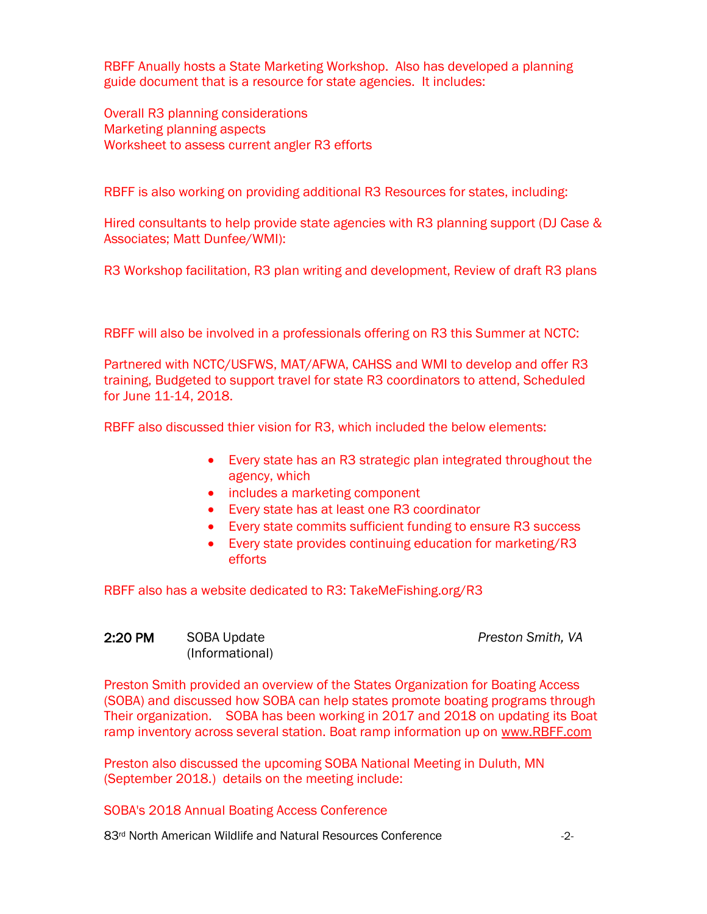RBFF Anually hosts a State Marketing Workshop. Also has developed a planning guide document that is a resource for state agencies. It includes:

Overall R3 planning considerations Marketing planning aspects Worksheet to assess current angler R3 efforts

RBFF is also working on providing additional R3 Resources for states, including:

Hired consultants to help provide state agencies with R3 planning support (DJ Case & Associates; Matt Dunfee/WMI):

R3 Workshop facilitation, R3 plan writing and development, Review of draft R3 plans

RBFF will also be involved in a professionals offering on R3 this Summer at NCTC:

Partnered with NCTC/USFWS, MAT/AFWA, CAHSS and WMI to develop and offer R3 training, Budgeted to support travel for state R3 coordinators to attend, Scheduled for June 11-14, 2018.

RBFF also discussed thier vision for R3, which included the below elements:

- Every state has an R3 strategic plan integrated throughout the agency, which
- includes a marketing component
- Every state has at least one R3 coordinator
- Every state commits sufficient funding to ensure R3 success
- Every state provides continuing education for marketing/R3 efforts

RBFF also has a website dedicated to R3: TakeMeFishing.org/R3

## 2:20 PM SOBA Update *Preston Smith, VA* (Informational)

Preston Smith provided an overview of the States Organization for Boating Access (SOBA) and discussed how SOBA can help states promote boating programs through Their organization. SOBA has been working in 2017 and 2018 on updating its Boat ramp inventory across several station. Boat ramp information up on [www.RBFF.com](http://www.rbff.com/)

Preston also discussed the upcoming SOBA National Meeting in Duluth, MN (September 2018.) details on the meeting include:

## SOBA's 2018 Annual Boating Access Conference

83<sup>rd</sup> North American Wildlife and Natural Resources Conference  $\sim$  2-2-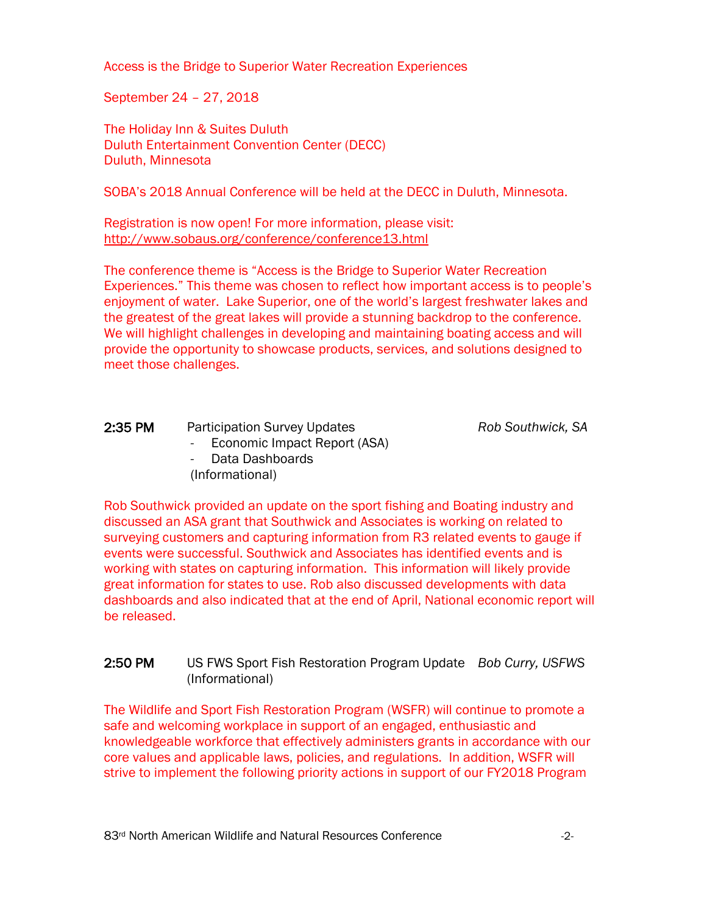Access is the Bridge to Superior Water Recreation Experiences

September 24 – 27, 2018

The Holiday Inn & Suites Duluth Duluth Entertainment Convention Center (DECC) Duluth, Minnesota

SOBA's 2018 Annual Conference will be held at the DECC in Duluth, Minnesota.

Registration is now open! For more information, please visit: <http://www.sobaus.org/conference/conference13.html>

The conference theme is "Access is the Bridge to Superior Water Recreation Experiences." This theme was chosen to reflect how important access is to people's enjoyment of water. Lake Superior, one of the world's largest freshwater lakes and the greatest of the great lakes will provide a stunning backdrop to the conference. We will highlight challenges in developing and maintaining boating access and will provide the opportunity to showcase products, services, and solutions designed to meet those challenges.

| 2:35 PM | <b>Participation Survey Updates</b> | Rob Southwick, SA |
|---------|-------------------------------------|-------------------|
|         | - Economic Impact Report (ASA)      |                   |
|         | - Data Dashboards                   |                   |
|         | (Informational)                     |                   |

Rob Southwick provided an update on the sport fishing and Boating industry and discussed an ASA grant that Southwick and Associates is working on related to surveying customers and capturing information from R3 related events to gauge if events were successful. Southwick and Associates has identified events and is working with states on capturing information. This information will likely provide great information for states to use. Rob also discussed developments with data dashboards and also indicated that at the end of April, National economic report will be released.

### 2:50 PM US FWS Sport Fish Restoration Program Update *Bob Curry, USFWS*  (Informational)

The Wildlife and Sport Fish Restoration Program (WSFR) will continue to promote a safe and welcoming workplace in support of an engaged, enthusiastic and knowledgeable workforce that effectively administers grants in accordance with our core values and applicable laws, policies, and regulations. In addition, WSFR will strive to implement the following priority actions in support of our FY2018 Program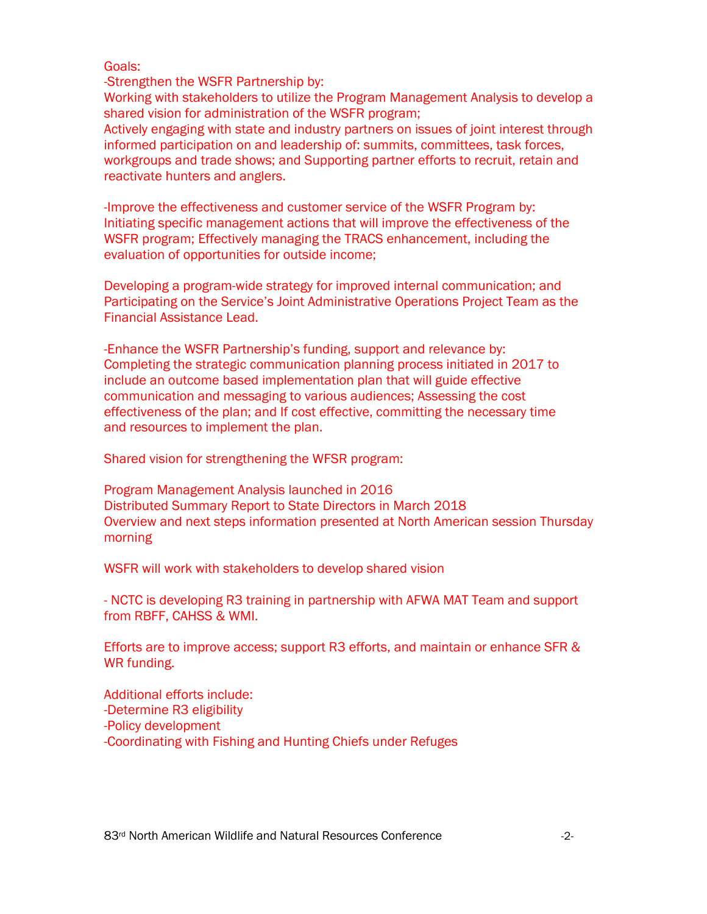Goals:

-Strengthen the WSFR Partnership by:

Working with stakeholders to utilize the Program Management Analysis to develop a shared vision for administration of the WSFR program;

Actively engaging with state and industry partners on issues of joint interest through informed participation on and leadership of: summits, committees, task forces, workgroups and trade shows; and Supporting partner efforts to recruit, retain and reactivate hunters and anglers.

-Improve the effectiveness and customer service of the WSFR Program by: Initiating specific management actions that will improve the effectiveness of the WSFR program; Effectively managing the TRACS enhancement, including the evaluation of opportunities for outside income;

Developing a program-wide strategy for improved internal communication; and Participating on the Service's Joint Administrative Operations Project Team as the Financial Assistance Lead.

-Enhance the WSFR Partnership's funding, support and relevance by: Completing the strategic communication planning process initiated in 2017 to include an outcome based implementation plan that will guide effective communication and messaging to various audiences; Assessing the cost effectiveness of the plan; and If cost effective, committing the necessary time and resources to implement the plan.

Shared vision for strengthening the WFSR program:

Program Management Analysis launched in 2016 Distributed Summary Report to State Directors in March 2018 Overview and next steps information presented at North American session Thursday morning

WSFR will work with stakeholders to develop shared vision

- NCTC is developing R3 training in partnership with AFWA MAT Team and support from RBFF, CAHSS & WMI.

Efforts are to improve access; support R3 efforts, and maintain or enhance SFR & WR funding.

Additional efforts include: -Determine R3 eligibility -Policy development -Coordinating with Fishing and Hunting Chiefs under Refuges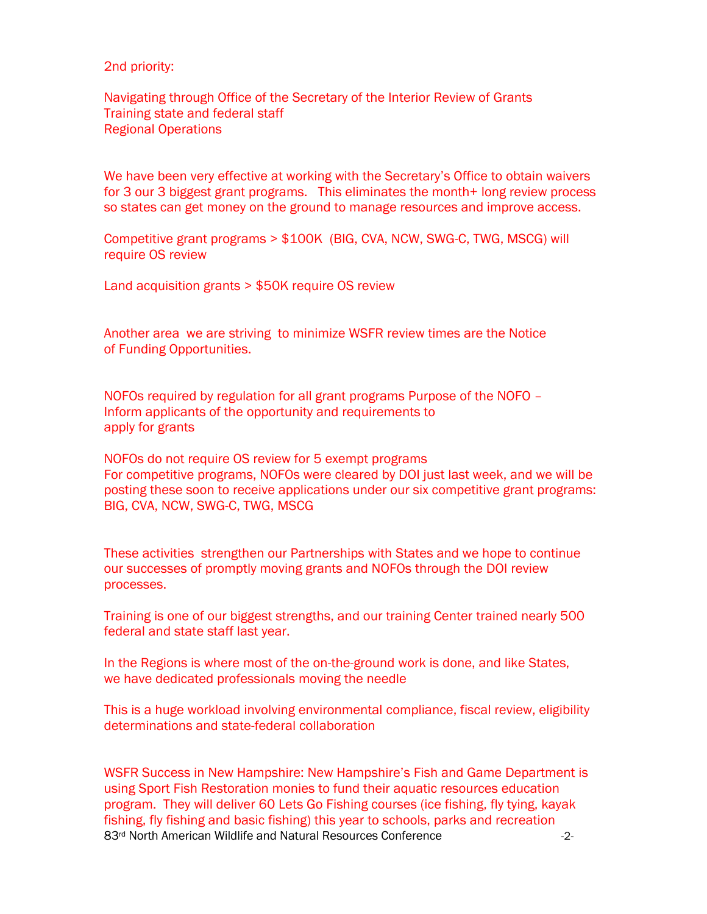2nd priority:

Navigating through Office of the Secretary of the Interior Review of Grants Training state and federal staff Regional Operations

We have been very effective at working with the Secretary's Office to obtain waivers for 3 our 3 biggest grant programs. This eliminates the month+ long review process so states can get money on the ground to manage resources and improve access.

Competitive grant programs > \$100K (BIG, CVA, NCW, SWG-C, TWG, MSCG) will require OS review

Land acquisition grants > \$50K require OS review

Another area we are striving to minimize WSFR review times are the Notice of Funding Opportunities.

NOFOs required by regulation for all grant programs Purpose of the NOFO – Inform applicants of the opportunity and requirements to apply for grants

NOFOs do not require OS review for 5 exempt programs For competitive programs, NOFOs were cleared by DOI just last week, and we will be posting these soon to receive applications under our six competitive grant programs: BIG, CVA, NCW, SWG-C, TWG, MSCG

These activities strengthen our Partnerships with States and we hope to continue our successes of promptly moving grants and NOFOs through the DOI review processes.

Training is one of our biggest strengths, and our training Center trained nearly 500 federal and state staff last year.

In the Regions is where most of the on-the-ground work is done, and like States, we have dedicated professionals moving the needle

This is a huge workload involving environmental compliance, fiscal review, eligibility determinations and state-federal collaboration

83<sup>rd</sup> North American Wildlife and Natural Resources Conference  $\sim$  2-2-WSFR Success in New Hampshire: New Hampshire's Fish and Game Department is using Sport Fish Restoration monies to fund their aquatic resources education program. They will deliver 60 Lets Go Fishing courses (ice fishing, fly tying, kayak fishing, fly fishing and basic fishing) this year to schools, parks and recreation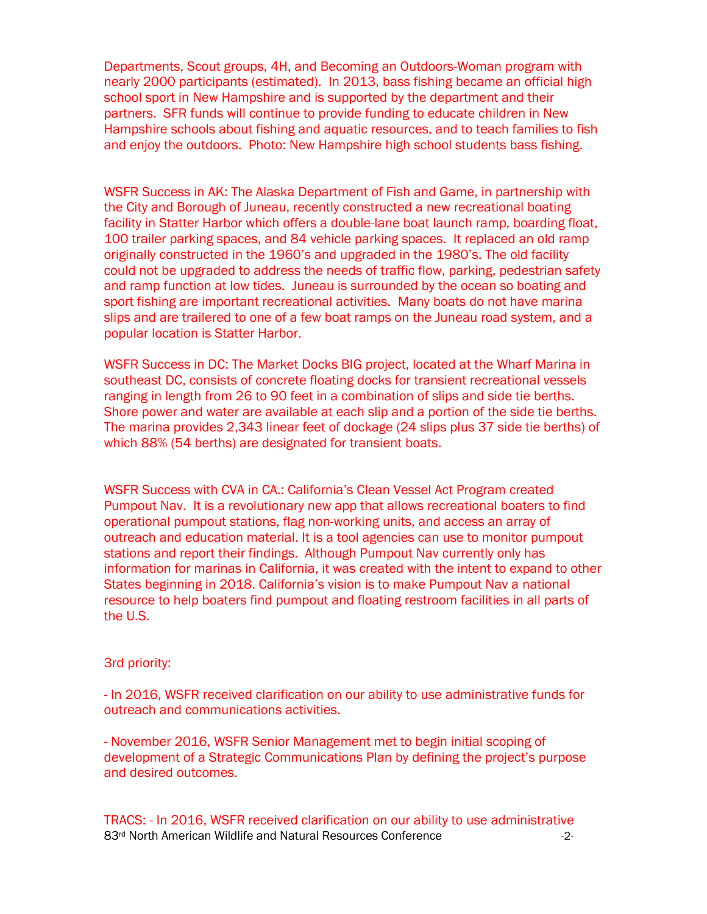Departments, Scout groups, 4H, and Becoming an Outdoors-Woman program with nearly 2000 participants (estimated). In 2013, bass fishing became an official high school sport in New Hampshire and is supported by the department and their partners. SFR funds will continue to provide funding to educate children in New Hampshire schools about fishing and aquatic resources, and to teach families to fish and enjoy the outdoors. Photo: New Hampshire high school students bass fishing.

WSFR Success in AK: The Alaska Department of Fish and Game, in partnership with the City and Borough of Juneau, recently constructed a new recreational boating facility in Statter Harbor which offers a double-lane boat launch ramp, boarding float, 100 trailer parking spaces, and 84 vehicle parking spaces. It replaced an old ramp originally constructed in the 1960's and upgraded in the 1980's. The old facility could not be upgraded to address the needs of traffic flow, parking, pedestrian safety and ramp function at low tides. Juneau is surrounded by the ocean so boating and sport fishing are important recreational activities. Many boats do not have marina slips and are trailered to one of a few boat ramps on the Juneau road system, and a popular location is Statter Harbor.

WSFR Success in DC: The Market Docks BIG project, located at the Wharf Marina in southeast DC, consists of concrete floating docks for transient recreational vessels ranging in length from 26 to 90 feet in a combination of slips and side tie berths. Shore power and water are available at each slip and a portion of the side tie berths. The marina provides 2,343 linear feet of dockage (24 slips plus 37 side tie berths) of which 88% (54 berths) are designated for transient boats.

WSFR Success with CVA in CA.: California's Clean Vessel Act Program created Pumpout Nav. It is a revolutionary new app that allows recreational boaters to find operational pumpout stations, flag non-working units, and access an array of outreach and education material. It is a tool agencies can use to monitor pumpout stations and report their findings. Although Pumpout Nav currently only has information for marinas in California, it was created with the intent to expand to other States beginning in 2018. California's vision is to make Pumpout Nav a national resource to help boaters find pumpout and floating restroom facilities in all parts of the U.S.

### 3rd priority:

- In 2016, WSFR received clarification on our ability to use administrative funds for outreach and communications activities.

- November 2016, WSFR Senior Management met to begin initial scoping of development of a Strategic Communications Plan by defining the project's purpose and desired outcomes.

83<sup>rd</sup> North American Wildlife and Natural Resources Conference  $\sim$  2-2-TRACS: - In 2016, WSFR received clarification on our ability to use administrative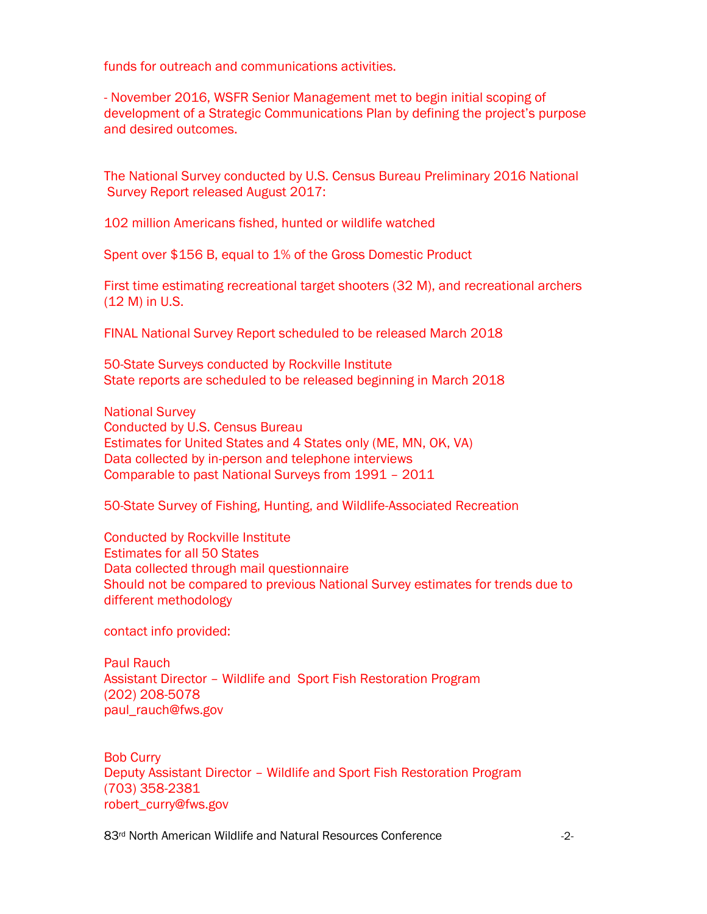funds for outreach and communications activities.

- November 2016, WSFR Senior Management met to begin initial scoping of development of a Strategic Communications Plan by defining the project's purpose and desired outcomes.

The National Survey conducted by U.S. Census Bureau Preliminary 2016 National Survey Report released August 2017:

102 million Americans fished, hunted or wildlife watched

Spent over \$156 B, equal to 1% of the Gross Domestic Product

First time estimating recreational target shooters (32 M), and recreational archers (12 M) in U.S.

FINAL National Survey Report scheduled to be released March 2018

50-State Surveys conducted by Rockville Institute State reports are scheduled to be released beginning in March 2018

National Survey Conducted by U.S. Census Bureau Estimates for United States and 4 States only (ME, MN, OK, VA) Data collected by in-person and telephone interviews Comparable to past National Surveys from 1991 – 2011

50-State Survey of Fishing, Hunting, and Wildlife-Associated Recreation

Conducted by Rockville Institute Estimates for all 50 States Data collected through mail questionnaire Should not be compared to previous National Survey estimates for trends due to different methodology

contact info provided:

Paul Rauch Assistant Director – Wildlife and Sport Fish Restoration Program (202) 208-5078 paul\_rauch@fws.gov

Bob Curry Deputy Assistant Director – Wildlife and Sport Fish Restoration Program (703) 358-2381 robert\_curry@fws.gov

83<sup>rd</sup> North American Wildlife and Natural Resources Conference  $\sim$  -2-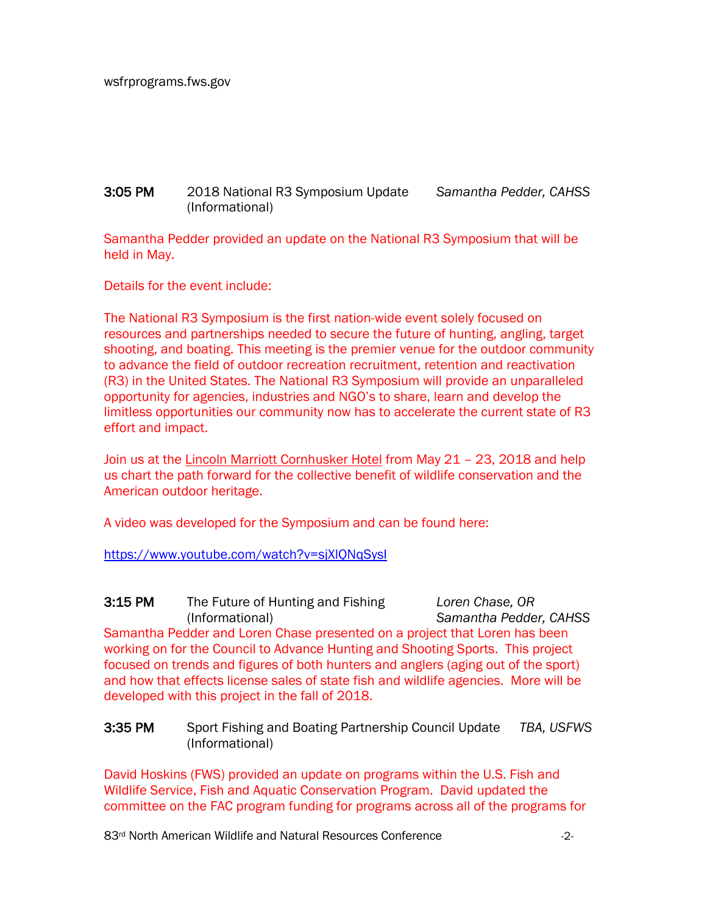## 3:05 PM 2018 National R3 Symposium Update *Samantha Pedder, CAHSS* (Informational)

Samantha Pedder provided an update on the National R3 Symposium that will be held in May.

Details for the event include:

The National R3 Symposium is the first nation-wide event solely focused on resources and partnerships needed to secure the future of hunting, angling, target shooting, and boating. This meeting is the premier venue for the outdoor community to advance the field of outdoor recreation recruitment, retention and reactivation (R3) in the United States. The National R3 Symposium will provide an unparalleled opportunity for agencies, industries and NGO's to share, learn and develop the limitless opportunities our community now has to accelerate the current state of R3 effort and impact.

Join us at the [Lincoln Marriott Cornhusker Hotel](http://www.marriott.com/meeting-event-hotels/group-corporate-travel/groupCorp.mi?resLinkData=Council%20to%20Advance%20Hunting%20and%20the%20Shooting%20Sports%202018%20R3%20Symposium%5ELNKFS%60CAHCAHA%7CCAHCAHH%6093.00%60USD%60true%604%605/21/18%605/24/18%604/30/18&app=resvlink&stop_mobi=yes) from May 21 – 23, 2018 and help us chart the path forward for the collective benefit of wildlife conservation and the American outdoor heritage.

A video was developed for the Symposium and can be found here:

<https://www.youtube.com/watch?v=sjXlQNqSysI>

3:15 PM The Future of Hunting and Fishing *Loren Chase, OR* (Informational) *Samantha Pedder, CAHSS*  Samantha Pedder and Loren Chase presented on a project that Loren has been working on for the Council to Advance Hunting and Shooting Sports. This project focused on trends and figures of both hunters and anglers (aging out of the sport) and how that effects license sales of state fish and wildlife agencies. More will be developed with this project in the fall of 2018.

## 3:35 PM Sport Fishing and Boating Partnership Council Update *TBA, USFWS* (Informational)

David Hoskins (FWS) provided an update on programs within the U.S. Fish and Wildlife Service, Fish and Aquatic Conservation Program. David updated the committee on the FAC program funding for programs across all of the programs for

83<sup>rd</sup> North American Wildlife and Natural Resources Conference  $\sim$  2-2-